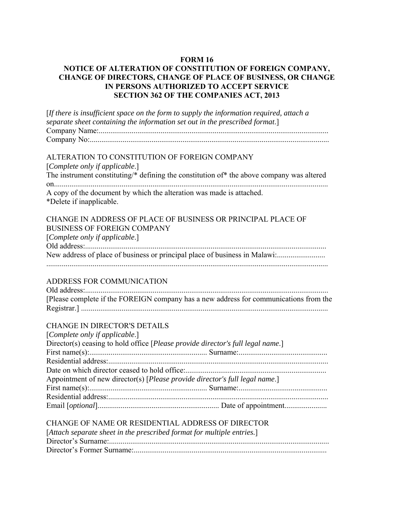## **FORM 16**

## **NOTICE OF ALTERATION OF CONSTITUTION OF FOREIGN COMPANY, CHANGE OF DIRECTORS, CHANGE OF PLACE OF BUSINESS, OR CHANGE IN PERSONS AUTHORIZED TO ACCEPT SERVICE SECTION 362 OF THE COMPANIES ACT, 2013**

| [If there is insufficient space on the form to supply the information required, attach a<br>separate sheet containing the information set out in the prescribed format.] |
|--------------------------------------------------------------------------------------------------------------------------------------------------------------------------|
|                                                                                                                                                                          |
|                                                                                                                                                                          |
| ALTERATION TO CONSTITUTION OF FOREIGN COMPANY                                                                                                                            |
| [Complete only if applicable.]                                                                                                                                           |
| The instrument constituting/* defining the constitution of* the above company was altered                                                                                |
|                                                                                                                                                                          |
| A copy of the document by which the alteration was made is attached.                                                                                                     |
| *Delete if inapplicable.                                                                                                                                                 |
|                                                                                                                                                                          |
| CHANGE IN ADDRESS OF PLACE OF BUSINESS OR PRINCIPAL PLACE OF                                                                                                             |
| <b>BUSINESS OF FOREIGN COMPANY</b>                                                                                                                                       |
| [Complete only if applicable.]                                                                                                                                           |
|                                                                                                                                                                          |
| New address of place of business or principal place of business in Malawi:                                                                                               |
|                                                                                                                                                                          |
|                                                                                                                                                                          |
| ADDRESS FOR COMMUNICATION                                                                                                                                                |
|                                                                                                                                                                          |
| [Please complete if the FOREIGN company has a new address for communications from the                                                                                    |
|                                                                                                                                                                          |
|                                                                                                                                                                          |
| <b>CHANGE IN DIRECTOR'S DETAILS</b>                                                                                                                                      |
| [Complete only if applicable.]                                                                                                                                           |
| Director(s) ceasing to hold office [Please provide director's full legal name.]                                                                                          |
|                                                                                                                                                                          |
|                                                                                                                                                                          |
| Appointment of new director(s) [Please provide director's full legal name.]                                                                                              |
|                                                                                                                                                                          |
|                                                                                                                                                                          |
|                                                                                                                                                                          |
|                                                                                                                                                                          |
| CHANGE OF NAME OR RESIDENTIAL ADDRESS OF DIRECTOR                                                                                                                        |
| [Attach separate sheet in the prescribed format for multiple entries.]                                                                                                   |
|                                                                                                                                                                          |
|                                                                                                                                                                          |